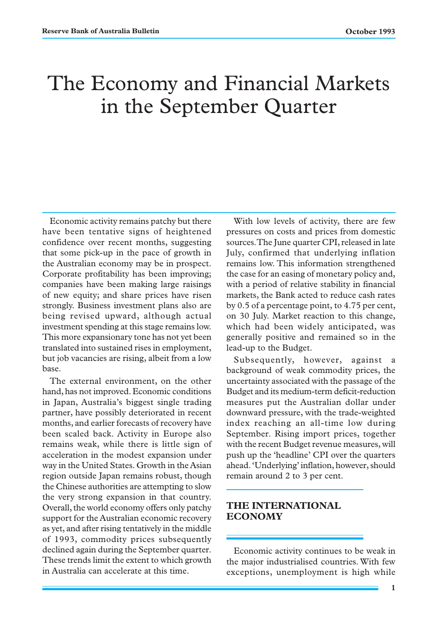# The Economy and Financial Markets in the September Quarter

Economic activity remains patchy but there have been tentative signs of heightened confidence over recent months, suggesting that some pick-up in the pace of growth in the Australian economy may be in prospect. Corporate profitability has been improving; companies have been making large raisings of new equity; and share prices have risen strongly. Business investment plans also are being revised upward, although actual investment spending at this stage remains low. This more expansionary tone has not yet been translated into sustained rises in employment, but job vacancies are rising, albeit from a low base.

The external environment, on the other hand, has not improved. Economic conditions in Japan, Australia's biggest single trading partner, have possibly deteriorated in recent months, and earlier forecasts of recovery have been scaled back. Activity in Europe also remains weak, while there is little sign of acceleration in the modest expansion under way in the United States. Growth in the Asian region outside Japan remains robust, though the Chinese authorities are attempting to slow the very strong expansion in that country. Overall, the world economy offers only patchy support for the Australian economic recovery as yet, and after rising tentatively in the middle of 1993, commodity prices subsequently declined again during the September quarter. These trends limit the extent to which growth in Australia can accelerate at this time.

With low levels of activity, there are few pressures on costs and prices from domestic sources. The June quarter CPI, released in late July, confirmed that underlying inflation remains low. This information strengthened the case for an easing of monetary policy and, with a period of relative stability in financial markets, the Bank acted to reduce cash rates by 0.5 of a percentage point, to 4.75 per cent, on 30 July. Market reaction to this change, which had been widely anticipated, was generally positive and remained so in the lead-up to the Budget.

Subsequently, however, against a background of weak commodity prices, the uncertainty associated with the passage of the Budget and its medium-term deficit-reduction measures put the Australian dollar under downward pressure, with the trade-weighted index reaching an all-time low during September. Rising import prices, together with the recent Budget revenue measures, will push up the 'headline' CPI over the quarters ahead. 'Underlying' inflation, however, should remain around 2 to 3 per cent.

# **THE INTERNATIONAL ECONOMY**

Economic activity continues to be weak in the major industrialised countries. With few exceptions, unemployment is high while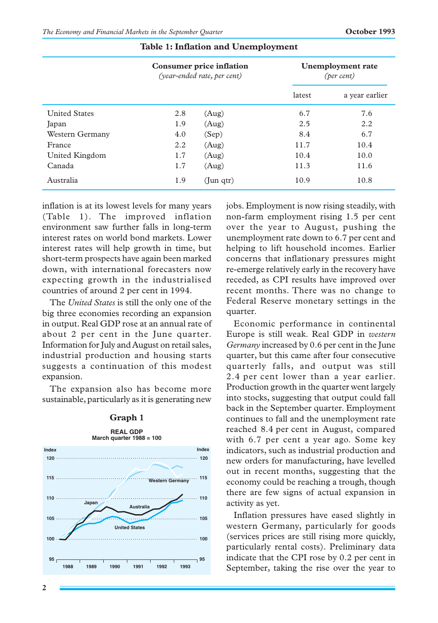|                      | <b>Consumer price inflation</b><br>(year-ended rate, per cent) |                 | <b>Unemployment</b> rate<br>(per cent) |                |
|----------------------|----------------------------------------------------------------|-----------------|----------------------------------------|----------------|
|                      |                                                                |                 | latest                                 | a year earlier |
| <b>United States</b> | 2.8                                                            | (Aug)           | 6.7                                    | 7.6            |
| Japan                | 1.9                                                            | (Aug)           | 2.5                                    | 2.2            |
| Western Germany      | 4.0                                                            | (Sep)           | 8.4                                    | 6.7            |
| France               | 2.2                                                            | (Aug)           | 11.7                                   | 10.4           |
| United Kingdom       | 1.7                                                            | (Aug)           | 10.4                                   | 10.0           |
| Canada               | 1.7                                                            | (Aug)           | 11.3                                   | 11.6           |
| Australia            | 1.9                                                            | $($ Jun qtr $)$ | 10.9                                   | 10.8           |

### **Table 1: Inflation and Unemployment**

inflation is at its lowest levels for many years (Table 1). The improved inflation environment saw further falls in long-term interest rates on world bond markets. Lower interest rates will help growth in time, but short-term prospects have again been marked down, with international forecasters now expecting growth in the industrialised countries of around 2 per cent in 1994.

The *United States* is still the only one of the big three economies recording an expansion in output. Real GDP rose at an annual rate of about 2 per cent in the June quarter. Information for July and August on retail sales, industrial production and housing starts suggests a continuation of this modest expansion.

The expansion also has become more sustainable, particularly as it is generating new





jobs. Employment is now rising steadily, with non-farm employment rising 1.5 per cent over the year to August, pushing the unemployment rate down to 6.7 per cent and helping to lift household incomes. Earlier concerns that inflationary pressures might re-emerge relatively early in the recovery have receded, as CPI results have improved over recent months. There was no change to Federal Reserve monetary settings in the quarter.

Economic performance in continental Europe is still weak. Real GDP in *western Germany* increased by 0.6 per cent in the June quarter, but this came after four consecutive quarterly falls, and output was still 2.4 per cent lower than a year earlier. Production growth in the quarter went largely into stocks, suggesting that output could fall back in the September quarter. Employment continues to fall and the unemployment rate reached 8.4 per cent in August, compared with 6.7 per cent a year ago. Some key indicators, such as industrial production and new orders for manufacturing, have levelled out in recent months, suggesting that the economy could be reaching a trough, though there are few signs of actual expansion in activity as yet.

Inflation pressures have eased slightly in western Germany, particularly for goods (services prices are still rising more quickly, particularly rental costs). Preliminary data indicate that the CPI rose by 0.2 per cent in September, taking the rise over the year to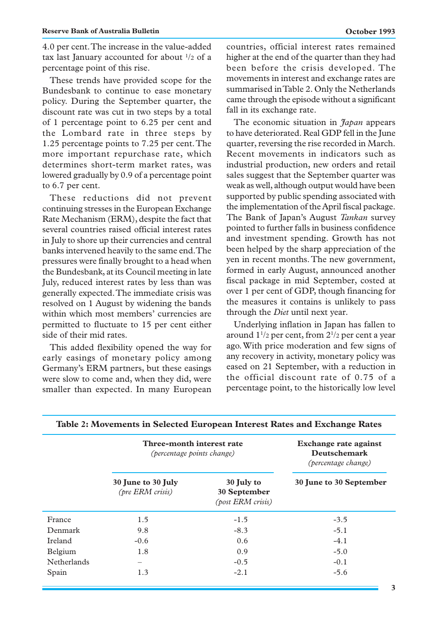4.0 per cent. The increase in the value-added tax last January accounted for about  $\frac{1}{2}$  of a percentage point of this rise.

These trends have provided scope for the Bundesbank to continue to ease monetary policy. During the September quarter, the discount rate was cut in two steps by a total of 1 percentage point to 6.25 per cent and the Lombard rate in three steps by 1.25 percentage points to 7.25 per cent. The more important repurchase rate, which determines short-term market rates, was lowered gradually by 0.9 of a percentage point to 6.7 per cent.

These reductions did not prevent continuing stresses in the European Exchange Rate Mechanism (ERM), despite the fact that several countries raised official interest rates in July to shore up their currencies and central banks intervened heavily to the same end. The pressures were finally brought to a head when the Bundesbank, at its Council meeting in late July, reduced interest rates by less than was generally expected. The immediate crisis was resolved on 1 August by widening the bands within which most members' currencies are permitted to fluctuate to 15 per cent either side of their mid rates.

This added flexibility opened the way for early easings of monetary policy among Germany's ERM partners, but these easings were slow to come and, when they did, were smaller than expected. In many European countries, official interest rates remained higher at the end of the quarter than they had been before the crisis developed. The movements in interest and exchange rates are summarised in Table 2. Only the Netherlands came through the episode without a significant fall in its exchange rate.

The economic situation in *Japan* appears to have deteriorated. Real GDP fell in the June quarter, reversing the rise recorded in March. Recent movements in indicators such as industrial production, new orders and retail sales suggest that the September quarter was weak as well, although output would have been supported by public spending associated with the implementation of the April fiscal package. The Bank of Japan's August *Tankan* survey pointed to further falls in business confidence and investment spending. Growth has not been helped by the sharp appreciation of the yen in recent months. The new government, formed in early August, announced another fiscal package in mid September, costed at over 1 per cent of GDP, though financing for the measures it contains is unlikely to pass through the *Diet* until next year.

Underlying inflation in Japan has fallen to around  $1^{1/2}$  per cent, from  $2^{1/2}$  per cent a year ago. With price moderation and few signs of any recovery in activity, monetary policy was eased on 21 September, with a reduction in the official discount rate of 0.75 of a percentage point, to the historically low level

|                    | Three-month interest rate<br>(percentage points change) |                                                        | <b>Exchange rate against</b><br><b>Deutschemark</b><br>(percentage change) |  |
|--------------------|---------------------------------------------------------|--------------------------------------------------------|----------------------------------------------------------------------------|--|
|                    | 30 June to 30 July<br>(pre ERM crisis)                  | 30 July to<br>30 September<br><i>(post ERM crisis)</i> | 30 June to 30 September                                                    |  |
| France             | 1.5                                                     | $-1.5$                                                 | $-3.5$                                                                     |  |
| Denmark            | 9.8                                                     | $-8.3$                                                 | $-5.1$                                                                     |  |
| Ireland            | $-0.6$                                                  | 0.6                                                    | $-4.1$                                                                     |  |
| Belgium            | 1.8                                                     | 0.9                                                    | $-5.0$                                                                     |  |
| <b>Netherlands</b> | -                                                       | $-0.5$                                                 | $-0.1$                                                                     |  |
| Spain              | 1.3                                                     | $-2.1$                                                 | $-5.6$                                                                     |  |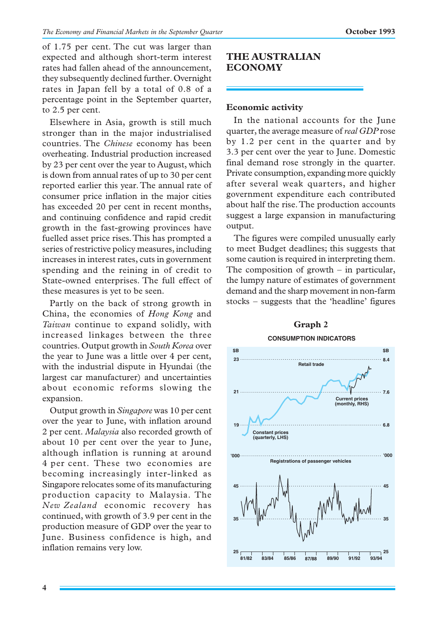of 1.75 per cent. The cut was larger than expected and although short-term interest rates had fallen ahead of the announcement, they subsequently declined further. Overnight rates in Japan fell by a total of 0.8 of a percentage point in the September quarter, to 2.5 per cent.

Elsewhere in Asia, growth is still much stronger than in the major industrialised countries. The *Chinese* economy has been overheating. Industrial production increased by 23 per cent over the year to August, which is down from annual rates of up to 30 per cent reported earlier this year. The annual rate of consumer price inflation in the major cities has exceeded 20 per cent in recent months, and continuing confidence and rapid credit growth in the fast-growing provinces have fuelled asset price rises. This has prompted a series of restrictive policy measures, including increases in interest rates, cuts in government spending and the reining in of credit to State-owned enterprises. The full effect of these measures is yet to be seen.

Partly on the back of strong growth in China, the economies of *Hong Kong* and *Taiwan* continue to expand solidly, with increased linkages between the three countries. Output growth in *South Korea* over the year to June was a little over 4 per cent, with the industrial dispute in Hyundai (the largest car manufacturer) and uncertainties about economic reforms slowing the expansion.

Output growth in *Singapore* was 10 per cent over the year to June, with inflation around 2 per cent. *Malaysia* also recorded growth of about 10 per cent over the year to June, although inflation is running at around 4 per cent. These two economies are becoming increasingly inter-linked as Singapore relocates some of its manufacturing production capacity to Malaysia. The *New Zealand* economic recovery has continued, with growth of 3.9 per cent in the production measure of GDP over the year to June. Business confidence is high, and inflation remains very low.

# **THE AUSTRALIAN ECONOMY**

# **Economic activity**

In the national accounts for the June quarter, the average measure of *real GDP* rose by 1.2 per cent in the quarter and by 3.3 per cent over the year to June. Domestic final demand rose strongly in the quarter. Private consumption, expanding more quickly after several weak quarters, and higher government expenditure each contributed about half the rise. The production accounts suggest a large expansion in manufacturing output.

The figures were compiled unusually early to meet Budget deadlines; this suggests that some caution is required in interpreting them. The composition of growth – in particular, the lumpy nature of estimates of government demand and the sharp movement in non-farm stocks – suggests that the 'headline' figures



#### **4**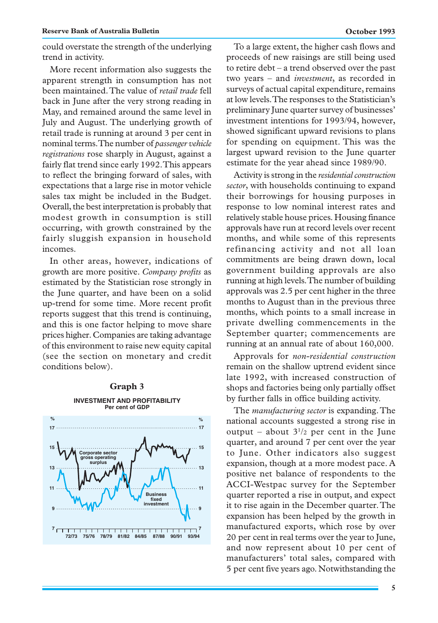could overstate the strength of the underlying trend in activity.

More recent information also suggests the apparent strength in consumption has not been maintained. The value of *retail trade* fell back in June after the very strong reading in May, and remained around the same level in July and August. The underlying growth of retail trade is running at around 3 per cent in nominal terms. The number of *passenger vehicle registrations* rose sharply in August, against a fairly flat trend since early 1992. This appears to reflect the bringing forward of sales, with expectations that a large rise in motor vehicle sales tax might be included in the Budget. Overall, the best interpretation is probably that modest growth in consumption is still occurring, with growth constrained by the fairly sluggish expansion in household incomes.

In other areas, however, indications of growth are more positive. *Company profits* as estimated by the Statistician rose strongly in the June quarter, and have been on a solid up-trend for some time. More recent profit reports suggest that this trend is continuing, and this is one factor helping to move share prices higher. Companies are taking advantage of this environment to raise new equity capital (see the section on monetary and credit conditions below).

#### **Graph 3**



To a large extent, the higher cash flows and proceeds of new raisings are still being used to retire debt – a trend observed over the past two years – and *investment*, as recorded in surveys of actual capital expenditure, remains at low levels. The responses to the Statistician's preliminary June quarter survey of businesses' investment intentions for 1993/94, however, showed significant upward revisions to plans for spending on equipment. This was the largest upward revision to the June quarter estimate for the year ahead since 1989/90.

Activity is strong in the *residential construction sector*, with households continuing to expand their borrowings for housing purposes in response to low nominal interest rates and relatively stable house prices. Housing finance approvals have run at record levels over recent months, and while some of this represents refinancing activity and not all loan commitments are being drawn down, local government building approvals are also running at high levels. The number of building approvals was 2.5 per cent higher in the three months to August than in the previous three months, which points to a small increase in private dwelling commencements in the September quarter; commencements are running at an annual rate of about 160,000.

Approvals for *non-residential construction* remain on the shallow uptrend evident since late 1992, with increased construction of shops and factories being only partially offset by further falls in office building activity.

The *manufacturing sector* is expanding. The national accounts suggested a strong rise in output – about  $3^{1/2}$  per cent in the June quarter, and around 7 per cent over the year to June. Other indicators also suggest expansion, though at a more modest pace. A positive net balance of respondents to the ACCI-Westpac survey for the September quarter reported a rise in output, and expect it to rise again in the December quarter. The expansion has been helped by the growth in manufactured exports, which rose by over 20 per cent in real terms over the year to June, and now represent about 10 per cent of manufacturers' total sales, compared with 5 per cent five years ago. Notwithstanding the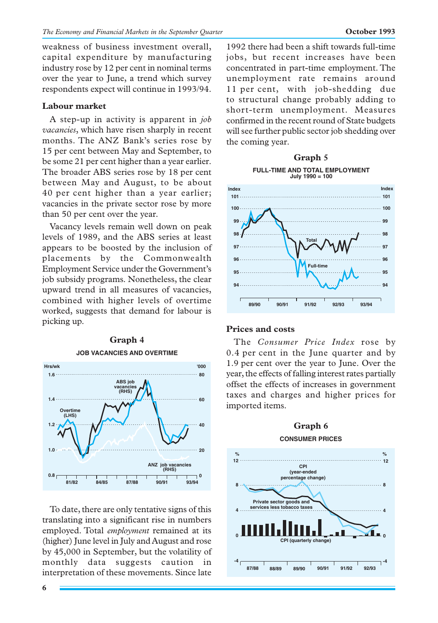weakness of business investment overall, capital expenditure by manufacturing industry rose by 12 per cent in nominal terms over the year to June, a trend which survey respondents expect will continue in 1993/94.

# **Labour market**

A step-up in activity is apparent in *job vacancies*, which have risen sharply in recent months. The ANZ Bank's series rose by 15 per cent between May and September, to be some 21 per cent higher than a year earlier. The broader ABS series rose by 18 per cent between May and August, to be about 40 per cent higher than a year earlier; vacancies in the private sector rose by more than 50 per cent over the year.

Vacancy levels remain well down on peak levels of 1989, and the ABS series at least appears to be boosted by the inclusion of placements by the Commonwealth Employment Service under the Government's job subsidy programs. Nonetheless, the clear upward trend in all measures of vacancies, combined with higher levels of overtime worked, suggests that demand for labour is picking up.



To date, there are only tentative signs of this translating into a significant rise in numbers employed. Total *employment* remained at its (higher) June level in July and August and rose by 45,000 in September, but the volatility of monthly data suggests caution in interpretation of these movements. Since late

1992 there had been a shift towards full-time jobs, but recent increases have been concentrated in part-time employment. The unemployment rate remains around 11 per cent, with job-shedding due to structural change probably adding to short-term unemployment. Measures confirmed in the recent round of State budgets will see further public sector job shedding over the coming year.

#### **Graph 5 FULL-TIME AND TOTAL EMPLOYMENT July 1990 = 100**



#### **Prices and costs**

The *Consumer Price Index* rose by 0.4 per cent in the June quarter and by 1.9 per cent over the year to June. Over the year, the effects of falling interest rates partially offset the effects of increases in government taxes and charges and higher prices for imported items.

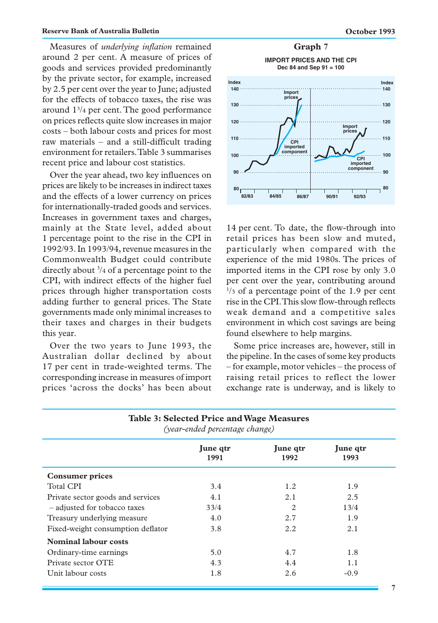Measures of *underlying inflation* remained around 2 per cent. A measure of prices of goods and services provided predominantly by the private sector, for example, increased by 2.5 per cent over the year to June; adjusted for the effects of tobacco taxes, the rise was around 13 /4 per cent. The good performance on prices reflects quite slow increases in major costs – both labour costs and prices for most raw materials – and a still-difficult trading environment for retailers. Table 3 summarises recent price and labour cost statistics.

Over the year ahead, two key influences on prices are likely to be increases in indirect taxes and the effects of a lower currency on prices for internationally-traded goods and services. Increases in government taxes and charges, mainly at the State level, added about 1 percentage point to the rise in the CPI in 1992/93. In 1993/94, revenue measures in the Commonwealth Budget could contribute directly about 3 /4 of a percentage point to the CPI, with indirect effects of the higher fuel prices through higher transportation costs adding further to general prices. The State governments made only minimal increases to their taxes and charges in their budgets this year.

Over the two years to June 1993, the Australian dollar declined by about 17 per cent in trade-weighted terms. The corresponding increase in measures of import prices 'across the docks' has been about

**IMPORT PRICES AND THE CPI Dec 84 and Sep 91 = 100 80 90 100 110 120 130 80 90 100 CPI 110 120 130 Index Index CPI imported component Import prices Import prices imported component 140** 11:00 **140** 

**82/83 84/85 86/87 92/93 90/91**

14 per cent. To date, the flow-through into retail prices has been slow and muted, particularly when compared with the experience of the mid 1980s. The prices of imported items in the CPI rose by only 3.0 per cent over the year, contributing around 1 /3 of a percentage point of the 1.9 per cent rise in the CPI. This slow flow-through reflects weak demand and a competitive sales environment in which cost savings are being found elsewhere to help margins.

Some price increases are, however, still in the pipeline. In the cases of some key products – for example, motor vehicles – the process of raising retail prices to reflect the lower exchange rate is underway, and is likely to

| (year-ended percentage change)    |                  |                  |                  |
|-----------------------------------|------------------|------------------|------------------|
|                                   | June qtr<br>1991 | June qtr<br>1992 | June qtr<br>1993 |
| <b>Consumer prices</b>            |                  |                  |                  |
| <b>Total CPI</b>                  | 3.4              | 1.2              | 1.9              |
| Private sector goods and services | 4.1              | 2.1              | 2.5              |
| - adjusted for tobacco taxes      | 33/4             | 2                | 13/4             |
| Treasury underlying measure       | 4.0              | 2.7              | 1.9              |
| Fixed-weight consumption deflator | 3.8              | 2.2              | 2.1              |
| <b>Nominal labour costs</b>       |                  |                  |                  |
| Ordinary-time earnings            | 5.0              | 4.7              | 1.8              |
| Private sector OTE                | 4.3              | 4.4              | 1.1              |
| Unit labour costs                 | 1.8              | 2.6              | $-0.9$           |

**Table 3: Selected Price and Wage Measures** *(year-ended percentage change)*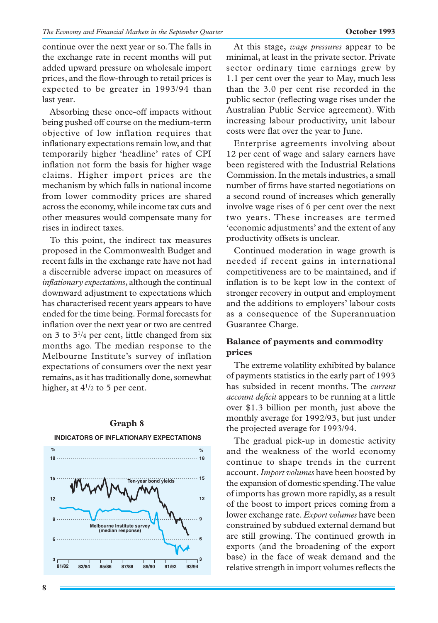continue over the next year or so. The falls in the exchange rate in recent months will put added upward pressure on wholesale import prices, and the flow-through to retail prices is expected to be greater in 1993/94 than last year.

Absorbing these once-off impacts without being pushed off course on the medium-term objective of low inflation requires that inflationary expectations remain low, and that temporarily higher 'headline' rates of CPI inflation not form the basis for higher wage claims. Higher import prices are the mechanism by which falls in national income from lower commodity prices are shared across the economy, while income tax cuts and other measures would compensate many for rises in indirect taxes.

To this point, the indirect tax measures proposed in the Commonwealth Budget and recent falls in the exchange rate have not had a discernible adverse impact on measures of *inflationary expectations*, although the continual downward adjustment to expectations which has characterised recent years appears to have ended for the time being. Formal forecasts for inflation over the next year or two are centred on 3 to 31 /4 per cent, little changed from six months ago. The median response to the Melbourne Institute's survey of inflation expectations of consumers over the next year remains, as it has traditionally done, somewhat higher, at  $4^{1/2}$  to 5 per cent.



#### **Graph 8**

At this stage, *wage pressures* appear to be minimal, at least in the private sector. Private sector ordinary time earnings grew by 1.1 per cent over the year to May, much less than the 3.0 per cent rise recorded in the public sector (reflecting wage rises under the Australian Public Service agreement). With increasing labour productivity, unit labour costs were flat over the year to June.

Enterprise agreements involving about 12 per cent of wage and salary earners have been registered with the Industrial Relations Commission. In the metals industries, a small number of firms have started negotiations on a second round of increases which generally involve wage rises of 6 per cent over the next two years. These increases are termed 'economic adjustments' and the extent of any productivity offsets is unclear.

Continued moderation in wage growth is needed if recent gains in international competitiveness are to be maintained, and if inflation is to be kept low in the context of stronger recovery in output and employment and the additions to employers' labour costs as a consequence of the Superannuation Guarantee Charge.

# **Balance of payments and commodity prices**

The extreme volatility exhibited by balance of payments statistics in the early part of 1993 has subsided in recent months. The *current account deficit* appears to be running at a little over \$1.3 billion per month, just above the monthly average for 1992/93, but just under the projected average for 1993/94.

The gradual pick-up in domestic activity and the weakness of the world economy continue to shape trends in the current account. *Import volumes* have been boosted by the expansion of domestic spending. The value of imports has grown more rapidly, as a result of the boost to import prices coming from a lower exchange rate. *Export volumes* have been constrained by subdued external demand but are still growing. The continued growth in exports (and the broadening of the export base) in the face of weak demand and the relative strength in import volumes reflects the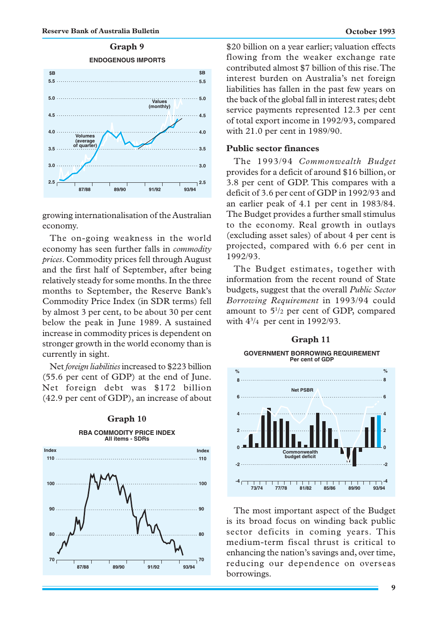

growing internationalisation of the Australian economy.

The on-going weakness in the world economy has seen further falls in *commodity prices*. Commodity prices fell through August and the first half of September, after being relatively steady for some months. In the three months to September, the Reserve Bank's Commodity Price Index (in SDR terms) fell by almost 3 per cent, to be about 30 per cent below the peak in June 1989. A sustained increase in commodity prices is dependent on stronger growth in the world economy than is currently in sight.

Net *foreign liabilities* increased to \$223 billion (55.6 per cent of GDP) at the end of June. Net foreign debt was \$172 billion (42.9 per cent of GDP), an increase of about



\$20 billion on a year earlier; valuation effects flowing from the weaker exchange rate contributed almost \$7 billion of this rise. The interest burden on Australia's net foreign liabilities has fallen in the past few years on the back of the global fall in interest rates; debt service payments represented 12.3 per cent of total export income in 1992/93, compared with 21.0 per cent in 1989/90.

#### **Public sector finances**

The 1993/94 *Commonwealth Budget* provides for a deficit of around \$16 billion, or 3.8 per cent of GDP. This compares with a deficit of 3.6 per cent of GDP in 1992/93 and an earlier peak of 4.1 per cent in 1983/84. The Budget provides a further small stimulus to the economy. Real growth in outlays (excluding asset sales) of about 4 per cent is projected, compared with 6.6 per cent in 1992/93.

The Budget estimates, together with information from the recent round of State budgets, suggest that the overall *Public Sector Borrowing Requirement* in 1993/94 could amount to  $5\frac{1}{2}$  per cent of GDP, compared with 43 /4 per cent in 1992/93.

#### **Graph 11**

**GOVERNMENT BORROWING REQUIREMENT Per cent of GDP**



The most important aspect of the Budget is its broad focus on winding back public sector deficits in coming years. This medium-term fiscal thrust is critical to enhancing the nation's savings and, over time, reducing our dependence on overseas borrowings.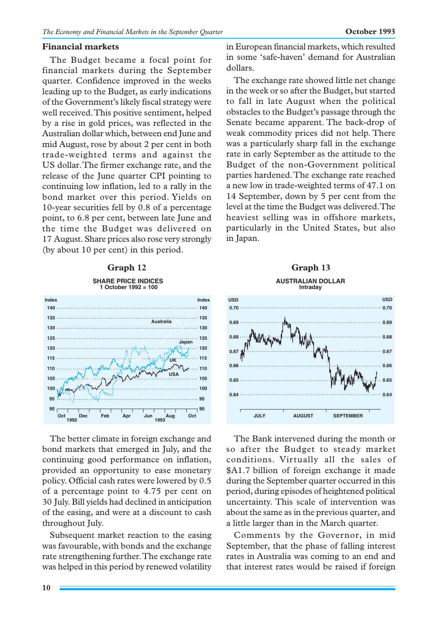## **Financial markets**

The Budget became a focal point for financial markets during the September quarter. Confidence improved in the weeks leading up to the Budget, as early indications of the Government's likely fiscal strategy were well received. This positive sentiment, helped by a rise in gold prices, was reflected in the Australian dollar which, between end June and mid August, rose by about 2 per cent in both trade-weighted terms and against the US dollar. The firmer exchange rate, and the release of the June quarter CPI pointing to continuing low inflation, led to a rally in the bond market over this period. Yields on 10-year securities fell by 0.8 of a percentage point, to 6.8 per cent, between late June and the time the Budget was delivered on 17 August. Share prices also rose very strongly (by about 10 per cent) in this period.

#### **Graph 12 SHARE PRICE INDICES 1 October 1992 = 100**



The better climate in foreign exchange and bond markets that emerged in July, and the continuing good performance on inflation, provided an opportunity to ease monetary policy. Official cash rates were lowered by 0.5 of a percentage point to 4.75 per cent on 30 July. Bill yields had declined in anticipation of the easing, and were at a discount to cash throughout July.

Subsequent market reaction to the easing was favourable, with bonds and the exchange rate strengthening further. The exchange rate was helped in this period by renewed volatility in European financial markets, which resulted in some 'safe-haven' demand for Australian dollars.

The exchange rate showed little net change in the week or so after the Budget, but started to fall in late August when the political obstacles to the Budget's passage through the Senate became apparent. The back-drop of weak commodity prices did not help. There was a particularly sharp fall in the exchange rate in early September as the attitude to the Budget of the non-Government political parties hardened. The exchange rate reached a new low in trade-weighted terms of 47.1 on 14 September, down by 5 per cent from the level at the time the Budget was delivered. The heaviest selling was in offshore markets, particularly in the United States, but also in Japan.

### **AUSTRALIAN DOLLAR Intraday Graph 13**



The Bank intervened during the month or so after the Budget to steady market conditions. Virtually all the sales of \$A1.7 billion of foreign exchange it made during the September quarter occurred in this period, during episodes of heightened political uncertainty. This scale of intervention was about the same as in the previous quarter, and a little larger than in the March quarter.

Comments by the Governor, in mid September, that the phase of falling interest rates in Australia was coming to an end and that interest rates would be raised if foreign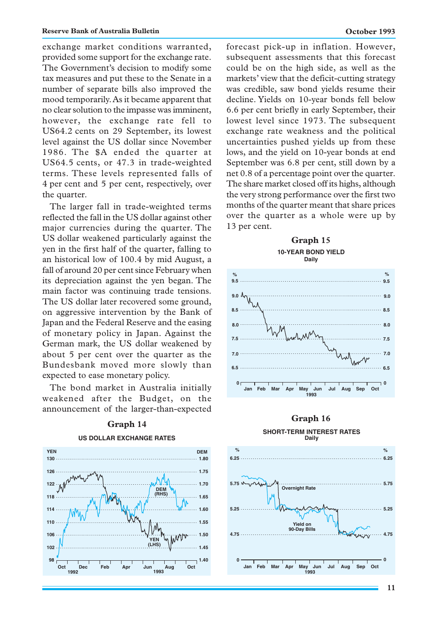exchange market conditions warranted, provided some support for the exchange rate. The Government's decision to modify some tax measures and put these to the Senate in a number of separate bills also improved the mood temporarily. As it became apparent that no clear solution to the impasse was imminent, however, the exchange rate fell to US64.2 cents on 29 September, its lowest level against the US dollar since November 1986. The \$A ended the quarter at US64.5 cents, or 47.3 in trade-weighted terms. These levels represented falls of 4 per cent and 5 per cent, respectively, over the quarter.

The larger fall in trade-weighted terms reflected the fall in the US dollar against other major currencies during the quarter. The US dollar weakened particularly against the yen in the first half of the quarter, falling to an historical low of 100.4 by mid August, a fall of around 20 per cent since February when its depreciation against the yen began. The main factor was continuing trade tensions. The US dollar later recovered some ground, on aggressive intervention by the Bank of Japan and the Federal Reserve and the easing of monetary policy in Japan. Against the German mark, the US dollar weakened by about 5 per cent over the quarter as the Bundesbank moved more slowly than expected to ease monetary policy.

The bond market in Australia initially weakened after the Budget, on the announcement of the larger-than-expected



# **Graph 14**

# **US DOLLAR EXCHANGE RATES**

forecast pick-up in inflation. However, subsequent assessments that this forecast could be on the high side, as well as the markets' view that the deficit-cutting strategy was credible, saw bond yields resume their decline. Yields on 10-year bonds fell below 6.6 per cent briefly in early September, their lowest level since 1973. The subsequent exchange rate weakness and the political uncertainties pushed yields up from these lows, and the yield on 10-year bonds at end September was 6.8 per cent, still down by a net 0.8 of a percentage point over the quarter. The share market closed off its highs, although the very strong performance over the first two months of the quarter meant that share prices over the quarter as a whole were up by 13 per cent.





# **SHORT-TERM INTEREST RATES Graph 16**

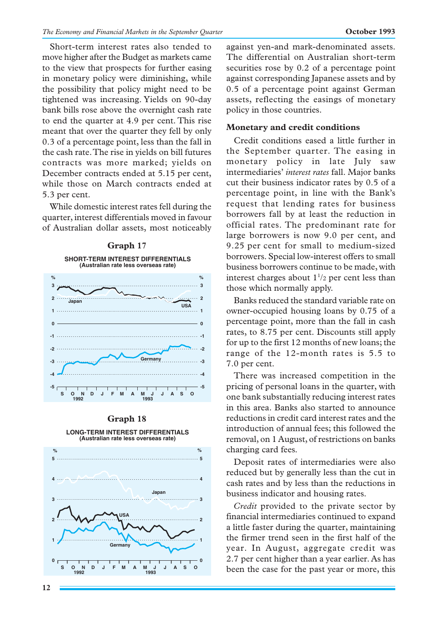Short-term interest rates also tended to move higher after the Budget as markets came to the view that prospects for further easing in monetary policy were diminishing, while the possibility that policy might need to be tightened was increasing. Yields on 90-day bank bills rose above the overnight cash rate to end the quarter at 4.9 per cent. This rise meant that over the quarter they fell by only 0.3 of a percentage point, less than the fall in the cash rate. The rise in yields on bill futures contracts was more marked; yields on December contracts ended at 5.15 per cent, while those on March contracts ended at 5.3 per cent.

While domestic interest rates fell during the quarter, interest differentials moved in favour of Australian dollar assets, most noticeably



#### **Graph 18**



against yen-and mark-denominated assets. The differential on Australian short-term securities rose by 0.2 of a percentage point against corresponding Japanese assets and by 0.5 of a percentage point against German assets, reflecting the easings of monetary policy in those countries.

# **Monetary and credit conditions**

Credit conditions eased a little further in the September quarter. The easing in monetary policy in late July saw intermediaries' *interest rates* fall. Major banks cut their business indicator rates by 0.5 of a percentage point, in line with the Bank's request that lending rates for business borrowers fall by at least the reduction in official rates. The predominant rate for large borrowers is now 9.0 per cent, and 9.25 per cent for small to medium-sized borrowers. Special low-interest offers to small business borrowers continue to be made, with interest charges about  $1\frac{1}{2}$  per cent less than those which normally apply.

Banks reduced the standard variable rate on owner-occupied housing loans by 0.75 of a percentage point, more than the fall in cash rates, to 8.75 per cent. Discounts still apply for up to the first 12 months of new loans; the range of the 12-month rates is 5.5 to 7.0 per cent.

There was increased competition in the pricing of personal loans in the quarter, with one bank substantially reducing interest rates in this area. Banks also started to announce reductions in credit card interest rates and the introduction of annual fees; this followed the removal, on 1 August, of restrictions on banks charging card fees.

Deposit rates of intermediaries were also reduced but by generally less than the cut in cash rates and by less than the reductions in business indicator and housing rates.

*Credit* provided to the private sector by financial intermediaries continued to expand a little faster during the quarter, maintaining the firmer trend seen in the first half of the year. In August, aggregate credit was 2.7 per cent higher than a year earlier. As has been the case for the past year or more, this